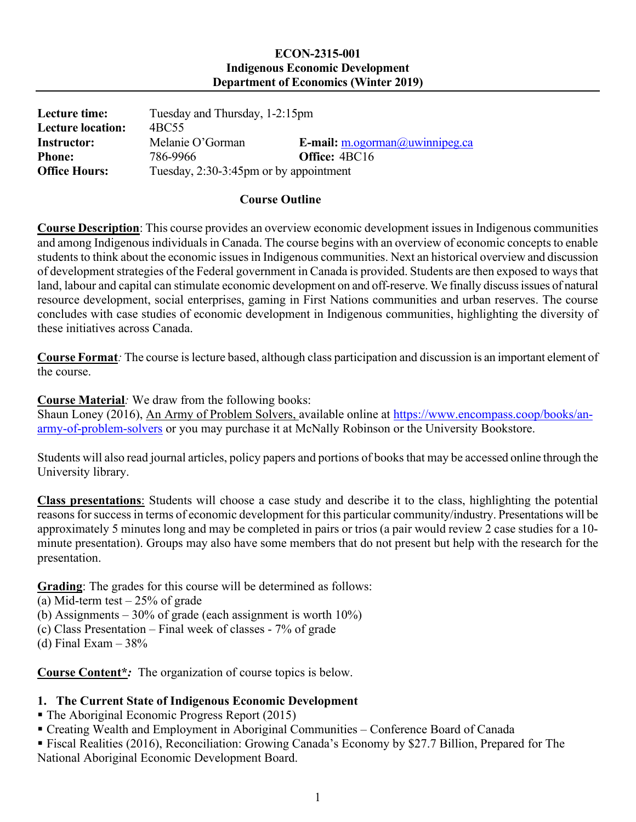#### **ECON-2315-001 Indigenous Economic Development Department of Economics (Winter 2019)**

| Lecture time:            | Tuesday and Thursday, 1-2:15pm         |                                       |
|--------------------------|----------------------------------------|---------------------------------------|
| <b>Lecture location:</b> | 4BC55                                  |                                       |
| Instructor:              | Melanie O'Gorman                       | E-mail: $m.$ ogorman $@$ uwinnipeg.ca |
| <b>Phone:</b>            | 786-9966                               | <b>Office: 4BC16</b>                  |
| <b>Office Hours:</b>     | Tuesday, 2:30-3:45pm or by appointment |                                       |

### **Course Outline**

**Course Description**: This course provides an overview economic development issues in Indigenous communities and among Indigenous individuals in Canada. The course begins with an overview of economic concepts to enable students to think about the economic issues in Indigenous communities. Next an historical overview and discussion of development strategies of the Federal government in Canada is provided. Students are then exposed to ways that land, labour and capital can stimulate economic development on and off-reserve. We finally discuss issues of natural resource development, social enterprises, gaming in First Nations communities and urban reserves. The course concludes with case studies of economic development in Indigenous communities, highlighting the diversity of these initiatives across Canada.

**Course Format***:* The course is lecture based, although class participation and discussion is an important element of the course.

**Course Material***:* We draw from the following books:

Shaun Loney (2016), An Army of Problem Solvers, available online at [https://www.encompass.coop/books/an](https://www.encompass.coop/books/an-army-of-problem-solvers)[army-of-problem-solvers](https://www.encompass.coop/books/an-army-of-problem-solvers) or you may purchase it at McNally Robinson or the University Bookstore.

Students will also read journal articles, policy papers and portions of books that may be accessed online through the University library.

**Class presentations**: Students will choose a case study and describe it to the class, highlighting the potential reasons for success in terms of economic development for this particular community/industry. Presentations will be approximately 5 minutes long and may be completed in pairs or trios (a pair would review 2 case studies for a 10 minute presentation). Groups may also have some members that do not present but help with the research for the presentation.

**Grading**: The grades for this course will be determined as follows:

(a) Mid-term test  $-25%$  of grade

(b) Assignments – 30% of grade (each assignment is worth 10%)

- (c) Class Presentation Final week of classes 7% of grade
- (d) Final Exam  $-38%$

**Course Content\****:* The organization of course topics is below.

### **1. The Current State of Indigenous Economic Development**

- The Aboriginal Economic Progress Report (2015)
- Creating Wealth and Employment in Aboriginal Communities Conference Board of Canada

 Fiscal Realities (2016), Reconciliation: Growing Canada's Economy by \$27.7 Billion, Prepared for The National Aboriginal Economic Development Board.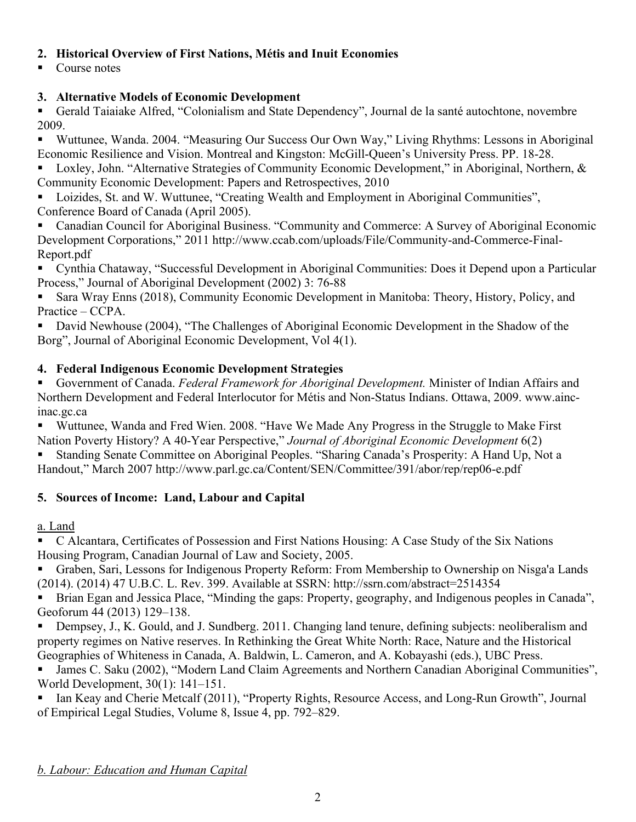## **2. Historical Overview of First Nations, Métis and Inuit Economies**

Course notes

# **3. Alternative Models of Economic Development**

 Gerald Taiaiake Alfred, "Colonialism and State Dependency", Journal de la santé autochtone, novembre 2009.

 Wuttunee, Wanda. 2004. "Measuring Our Success Our Own Way," Living Rhythms: Lessons in Aboriginal Economic Resilience and Vision. Montreal and Kingston: McGill-Queen's University Press. PP. 18-28.

Loxley, John. "Alternative Strategies of Community Economic Development," in Aboriginal, Northern, & Community Economic Development: Papers and Retrospectives, 2010

 Loizides, St. and W. Wuttunee, "Creating Wealth and Employment in Aboriginal Communities", Conference Board of Canada (April 2005).

 Canadian Council for Aboriginal Business. "Community and Commerce: A Survey of Aboriginal Economic Development Corporations," 2011 http://www.ccab.com/uploads/File/Community-and-Commerce-Final-Report.pdf

 Cynthia Chataway, "Successful Development in Aboriginal Communities: Does it Depend upon a Particular Process," Journal of Aboriginal Development (2002) 3: 76-88

 Sara Wray Enns (2018), Community Economic Development in Manitoba: Theory, History, Policy, and Practice – CCPA.

 David Newhouse (2004), "The Challenges of Aboriginal Economic Development in the Shadow of the Borg", Journal of Aboriginal Economic Development, Vol 4(1).

# **4. Federal Indigenous Economic Development Strategies**

 Government of Canada. *Federal Framework for Aboriginal Development.* Minister of Indian Affairs and Northern Development and Federal Interlocutor for Métis and Non-Status Indians. Ottawa, 2009. www.aincinac.gc.ca

 Wuttunee, Wanda and Fred Wien. 2008. "Have We Made Any Progress in the Struggle to Make First Nation Poverty History? A 40-Year Perspective," *Journal of Aboriginal Economic Development* 6(2)

 Standing Senate Committee on Aboriginal Peoples. "Sharing Canada's Prosperity: A Hand Up, Not a Handout," March 2007 http://www.parl.gc.ca/Content/SEN/Committee/391/abor/rep/rep06-e.pdf

# **5. Sources of Income: Land, Labour and Capital**

a. Land

 C Alcantara, Certificates of Possession and First Nations Housing: A Case Study of the Six Nations Housing Program, Canadian Journal of Law and Society, 2005.

 Graben, Sari, Lessons for Indigenous Property Reform: From Membership to Ownership on Nisga'a Lands (2014). (2014) 47 U.B.C. L. Rev. 399. Available at SSRN: http://ssrn.com/abstract=2514354

 Brian Egan and Jessica Place, "Minding the gaps: Property, geography, and Indigenous peoples in Canada", Geoforum 44 (2013) 129–138.

**Dempsey, J., K. Gould, and J. Sundberg. 2011. Changing land tenure, defining subjects: neoliberalism and** property regimes on Native reserves. In Rethinking the Great White North: Race, Nature and the Historical Geographies of Whiteness in Canada, A. Baldwin, L. Cameron, and A. Kobayashi (eds.), UBC Press.

 James C. Saku (2002), "Modern Land Claim Agreements and Northern Canadian Aboriginal Communities", World Development, 30(1): 141–151.

 Ian Keay and Cherie Metcalf (2011), "Property Rights, Resource Access, and Long-Run Growth", Journal of Empirical Legal Studies, Volume 8, Issue 4, pp. 792–829.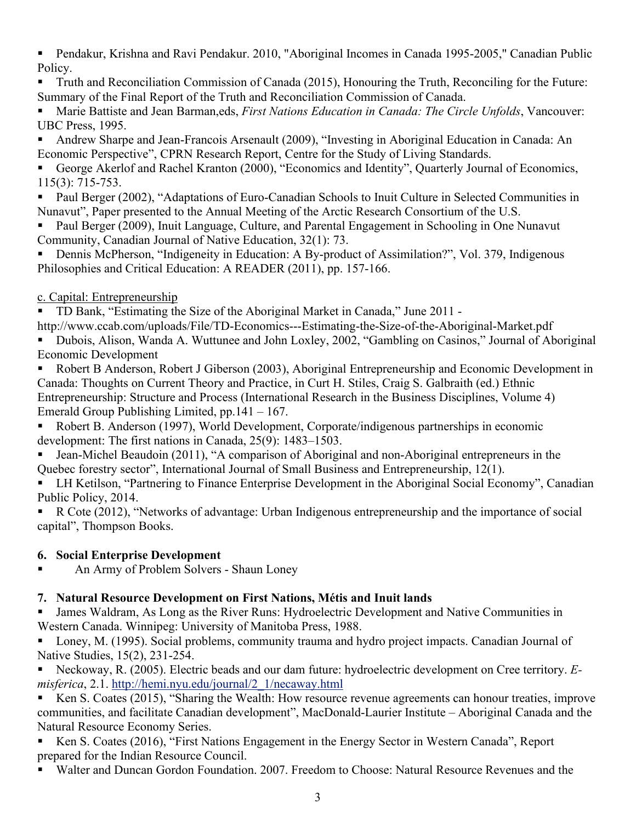Pendakur, Krishna and Ravi Pendakur. 2010, "Aboriginal Incomes in Canada 1995-2005," Canadian Public Policy.

 Truth and Reconciliation Commission of Canada (2015), Honouring the Truth, Reconciling for the Future: Summary of the Final Report of the Truth and Reconciliation Commission of Canada.

 Marie Battiste and Jean Barman,eds, *First Nations Education in Canada: The Circle Unfolds*, Vancouver: UBC Press, 1995.

 Andrew Sharpe and Jean-Francois Arsenault (2009), "Investing in Aboriginal Education in Canada: An Economic Perspective", CPRN Research Report, Centre for the Study of Living Standards.

 George Akerlof and Rachel Kranton (2000), "Economics and Identity", Quarterly Journal of Economics, 115(3): 715-753.

 Paul Berger (2002), "Adaptations of Euro-Canadian Schools to Inuit Culture in Selected Communities in Nunavut", Paper presented to the Annual Meeting of the Arctic Research Consortium of the U.S.

 Paul Berger (2009), Inuit Language, Culture, and Parental Engagement in Schooling in One Nunavut Community, Canadian Journal of Native Education, 32(1): 73.

■ Dennis McPherson, "Indigeneity in Education: A By-product of Assimilation?", Vol. 379, Indigenous Philosophies and Critical Education: A READER (2011), pp. 157-166.

## c. Capital: Entrepreneurship

TD Bank, "Estimating the Size of the Aboriginal Market in Canada," June 2011 -

http://www.ccab.com/uploads/File/TD-Economics---Estimating-the-Size-of-the-Aboriginal-Market.pdf

 Dubois, Alison, Wanda A. Wuttunee and John Loxley, 2002, "Gambling on Casinos," Journal of Aboriginal Economic Development

 Robert B Anderson, Robert J Giberson (2003), Aboriginal Entrepreneurship and Economic Development in Canada: Thoughts on Current Theory and Practice, in Curt H. Stiles, Craig S. Galbraith (ed.) Ethnic Entrepreneurship: Structure and Process (International Research in the Business Disciplines, Volume 4) Emerald Group Publishing Limited, pp.141 – 167.

 Robert B. Anderson (1997), World Development, Corporate/indigenous partnerships in economic development: The first nations in Canada, 25(9): 1483–1503.

 Jean-Michel Beaudoin (2011), "A comparison of Aboriginal and non-Aboriginal entrepreneurs in the Quebec forestry sector", International Journal of Small Business and Entrepreneurship, 12(1).

 LH Ketilson, "Partnering to Finance Enterprise Development in the Aboriginal Social Economy", Canadian Public Policy, 2014.

 R Cote (2012), "Networks of advantage: Urban Indigenous entrepreneurship and the importance of social capital", Thompson Books.

# **6. Social Enterprise Development**

An Army of Problem Solvers - Shaun Loney

# **7. Natural Resource Development on First Nations, Métis and Inuit lands**

 James Waldram, As Long as the River Runs: Hydroelectric Development and Native Communities in Western Canada. Winnipeg: University of Manitoba Press, 1988.

 Loney, M. (1995). Social problems, community trauma and hydro project impacts. Canadian Journal of Native Studies, 15(2), 231-254.

 Neckoway, R. (2005). Electric beads and our dam future: hydroelectric development on Cree territory. *Emisferica*, 2.1. [http://hemi.nyu.edu/journal/2\\_1/necaway.html](http://hemi.nyu.edu/journal/2_1/necaway.html)

 Ken S. Coates (2015), "Sharing the Wealth: How resource revenue agreements can honour treaties, improve communities, and facilitate Canadian development", MacDonald-Laurier Institute – Aboriginal Canada and the Natural Resource Economy Series.

Ken S. Coates (2016), "First Nations Engagement in the Energy Sector in Western Canada", Report prepared for the Indian Resource Council.

Walter and Duncan Gordon Foundation. 2007. Freedom to Choose: Natural Resource Revenues and the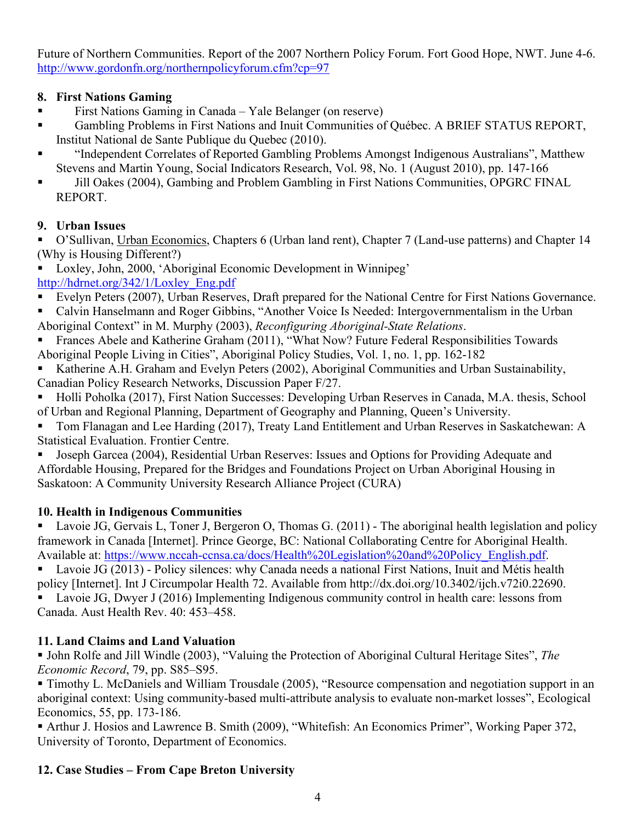Future of Northern Communities. Report of the 2007 Northern Policy Forum. Fort Good Hope, NWT. June 4-6. <http://www.gordonfn.org/northernpolicyforum.cfm?cp=97>

## **8. First Nations Gaming**

- First Nations Gaming in Canada Yale Belanger (on reserve)
- Gambling Problems in First Nations and Inuit Communities of Québec. A BRIEF STATUS REPORT, Institut National de Sante Publique du Quebec (2010).
- "Independent Correlates of Reported Gambling Problems Amongst Indigenous Australians", Matthew Stevens and Martin Young, Social Indicators Research, Vol. 98, No. 1 (August 2010), pp. 147-166
- Jill Oakes (2004), Gambing and Problem Gambling in First Nations Communities, OPGRC FINAL REPORT.

## **9. Urban Issues**

 O'Sullivan, Urban Economics, Chapters 6 (Urban land rent), Chapter 7 (Land-use patterns) and Chapter 14 (Why is Housing Different?)

 Loxley, John, 2000, 'Aboriginal Economic Development in Winnipeg' [http://hdrnet.org/342/1/Loxley\\_Eng.pdf](http://hdrnet.org/342/1/Loxley_Eng.pdf)

- Evelyn Peters (2007), Urban Reserves, Draft prepared for the National Centre for First Nations Governance.
- Calvin Hanselmann and Roger Gibbins, "Another Voice Is Needed: Intergovernmentalism in the Urban Aboriginal Context" in M. Murphy (2003), *Reconfiguring Aboriginal-State Relations*.
- Frances Abele and Katherine Graham (2011), "What Now? Future Federal Responsibilities Towards Aboriginal People Living in Cities", Aboriginal Policy Studies, Vol. 1, no. 1, pp. 162-182
- Katherine A.H. Graham and Evelyn Peters (2002), Aboriginal Communities and Urban Sustainability, Canadian Policy Research Networks, Discussion Paper F/27.
- Holli Poholka (2017), First Nation Successes: Developing Urban Reserves in Canada, M.A. thesis, School of Urban and Regional Planning, Department of Geography and Planning, Queen's University.

 Tom Flanagan and Lee Harding (2017), Treaty Land Entitlement and Urban Reserves in Saskatchewan: A Statistical Evaluation. Frontier Centre.

 Joseph Garcea (2004), Residential Urban Reserves: Issues and Options for Providing Adequate and Affordable Housing, Prepared for the Bridges and Foundations Project on Urban Aboriginal Housing in Saskatoon: A Community University Research Alliance Project (CURA)

# **10. Health in Indigenous Communities**

 Lavoie JG, Gervais L, Toner J, Bergeron O, Thomas G. (2011) - The aboriginal health legislation and policy framework in Canada [Internet]. Prince George, BC: National Collaborating Centre for Aboriginal Health. Available at: [https://www.nccah-ccnsa.ca/docs/Health%20Legislation%20and%20Policy\\_English.pdf.](https://www.nccah-ccnsa.ca/docs/Health%20Legislation%20and%20Policy_English.pdf)

 Lavoie JG (2013) - Policy silences: why Canada needs a national First Nations, Inuit and Métis health policy [Internet]. Int J Circumpolar Health 72. Available from http://dx.doi.org/10.3402/ijch.v72i0.22690.

 Lavoie JG, Dwyer J (2016) Implementing Indigenous community control in health care: lessons from Canada. Aust Health Rev. 40: 453–458.

# **11. Land Claims and Land Valuation**

 John Rolfe and Jill Windle (2003), "Valuing the Protection of Aboriginal Cultural Heritage Sites", *The Economic Record*, 79, pp. S85–S95.

 Timothy L. McDaniels and William Trousdale (2005), "Resource compensation and negotiation support in an aboriginal context: Using community-based multi-attribute analysis to evaluate non-market losses", Ecological Economics, 55, pp. 173-186.

 Arthur J. Hosios and Lawrence B. Smith (2009), "Whitefish: An Economics Primer", Working Paper 372, University of Toronto, Department of Economics.

# **12. Case Studies – From Cape Breton University**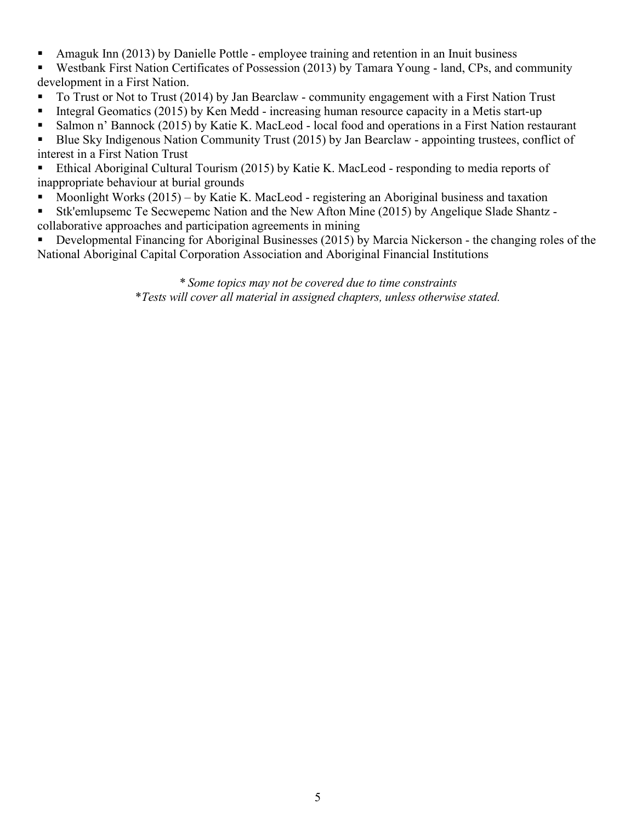- Amaguk Inn (2013) by Danielle Pottle employee training and retention in an Inuit business
- Westbank First Nation Certificates of Possession (2013) by Tamara Young land, CPs, and community development in a First Nation.
- To Trust or Not to Trust (2014) by Jan Bearclaw community engagement with a First Nation Trust
- Integral Geomatics (2015) by Ken Medd increasing human resource capacity in a Metis start-up
- Salmon n' Bannock (2015) by Katie K. MacLeod local food and operations in a First Nation restaurant

Blue Sky Indigenous Nation Community Trust (2015) by Jan Bearclaw - appointing trustees, conflict of interest in a First Nation Trust

 Ethical Aboriginal Cultural Tourism (2015) by Katie K. MacLeod - responding to media reports of inappropriate behaviour at burial grounds

- Moonlight Works (2015) by Katie K. MacLeod registering an Aboriginal business and taxation
- Stk'emlupsemc Te Secwepemc Nation and the New Afton Mine (2015) by Angelique Slade Shantz -
- collaborative approaches and participation agreements in mining

 Developmental Financing for Aboriginal Businesses (2015) by Marcia Nickerson - the changing roles of the National Aboriginal Capital Corporation Association and Aboriginal Financial Institutions

> *\* Some topics may not be covered due to time constraints* \**Tests will cover all material in assigned chapters, unless otherwise stated.*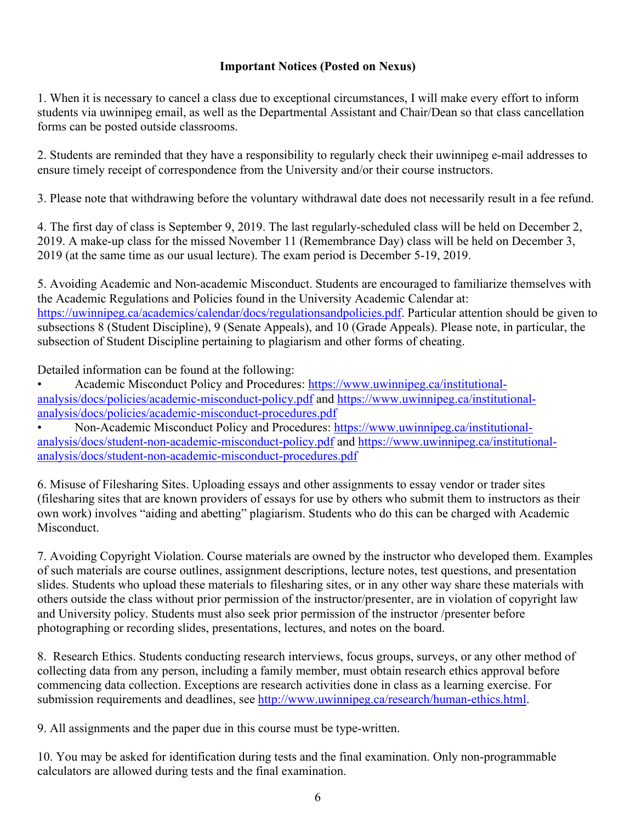### **Important Notices (Posted on Nexus)**

1. When it is necessary to cancel a class due to exceptional circumstances, I will make every effort to inform students via uwinnipeg email, as well as the Departmental Assistant and Chair/Dean so that class cancellation forms can be posted outside classrooms.

2. Students are reminded that they have a responsibility to regularly check their uwinnipeg e-mail addresses to ensure timely receipt of correspondence from the University and/or their course instructors.

3. Please note that withdrawing before the voluntary withdrawal date does not necessarily result in a fee refund.

4. The first day of class is September 9, 2019. The last regularly-scheduled class will be held on December 2, 2019. A make-up class for the missed November 11 (Remembrance Day) class will be held on December 3, 2019 (at the same time as our usual lecture). The exam period is December 5-19, 2019.

5. Avoiding Academic and Non-academic Misconduct. Students are encouraged to familiarize themselves with the Academic Regulations and Policies found in the University Academic Calendar at: [https://uwinnipeg.ca/academics/calendar/docs/regulationsandpolicies.pdf.](https://uwinnipeg.ca/academics/calendar/docs/regulationsandpolicies.pdf) Particular attention should be given to subsections 8 (Student Discipline), 9 (Senate Appeals), and 10 (Grade Appeals). Please note, in particular, the subsection of Student Discipline pertaining to plagiarism and other forms of cheating.

Detailed information can be found at the following:

• Academic Misconduct Policy and Procedures: [https://www.uwinnipeg.ca/institutional](https://www.uwinnipeg.ca/institutional-analysis/docs/policies/academic-misconduct-policy.pdf)[analysis/docs/policies/academic-misconduct-policy.pdf](https://www.uwinnipeg.ca/institutional-analysis/docs/policies/academic-misconduct-policy.pdf) and [https://www.uwinnipeg.ca/institutional](https://www.uwinnipeg.ca/institutional-analysis/docs/policies/academic-misconduct-procedures.pdf)[analysis/docs/policies/academic-misconduct-procedures.pdf](https://www.uwinnipeg.ca/institutional-analysis/docs/policies/academic-misconduct-procedures.pdf)

• Non-Academic Misconduct Policy and Procedures: [https://www.uwinnipeg.ca/institutional](https://www.uwinnipeg.ca/institutional-analysis/docs/student-non-academic-misconduct-policy.pdf)[analysis/docs/student-non-academic-misconduct-policy.pdf](https://www.uwinnipeg.ca/institutional-analysis/docs/student-non-academic-misconduct-policy.pdf) and [https://www.uwinnipeg.ca/institutional](https://www.uwinnipeg.ca/institutional-analysis/docs/student-non-academic-misconduct-procedures.pdf)[analysis/docs/student-non-academic-misconduct-procedures.pdf](https://www.uwinnipeg.ca/institutional-analysis/docs/student-non-academic-misconduct-procedures.pdf)

6. Misuse of Filesharing Sites. Uploading essays and other assignments to essay vendor or trader sites (filesharing sites that are known providers of essays for use by others who submit them to instructors as their own work) involves "aiding and abetting" plagiarism. Students who do this can be charged with Academic Misconduct.

7. Avoiding Copyright Violation. Course materials are owned by the instructor who developed them. Examples of such materials are course outlines, assignment descriptions, lecture notes, test questions, and presentation slides. Students who upload these materials to filesharing sites, or in any other way share these materials with others outside the class without prior permission of the instructor/presenter, are in violation of copyright law and University policy. Students must also seek prior permission of the instructor /presenter before photographing or recording slides, presentations, lectures, and notes on the board.

8. Research Ethics. Students conducting research interviews, focus groups, surveys, or any other method of collecting data from any person, including a family member, must obtain research ethics approval before commencing data collection. Exceptions are research activities done in class as a learning exercise. For submission requirements and deadlines, see [http://www.uwinnipeg.ca/research/human-ethics.html.](http://www.uwinnipeg.ca/research/human-ethics.html)

9. All assignments and the paper due in this course must be type-written.

10. You may be asked for identification during tests and the final examination. Only non-programmable calculators are allowed during tests and the final examination.